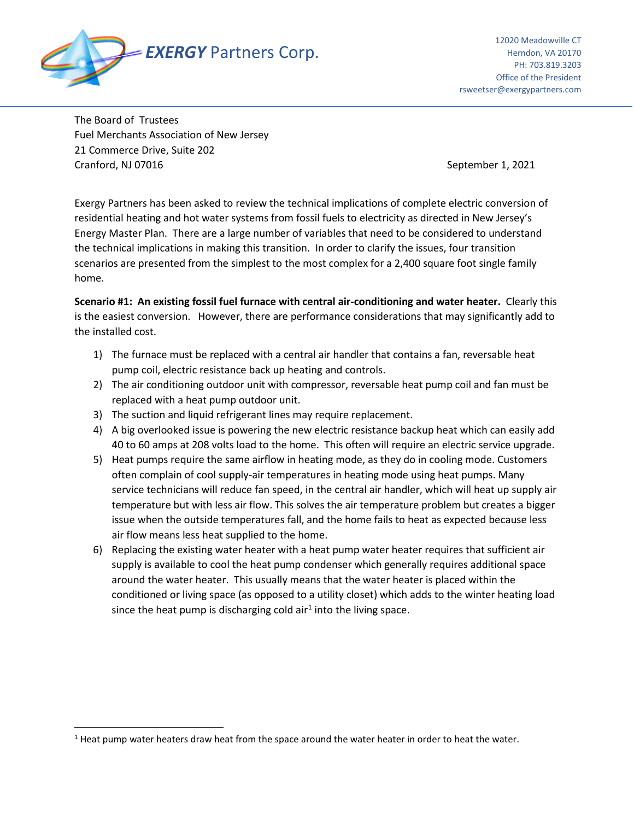

The Board of Trustees Fuel Merchants Association of New Jersey 21 Commerce Drive, Suite 202 Cranford, NJ 07016 September 1, 2021

Exergy Partners has been asked to review the technical implications of complete electric conversion of residential heating and hot water systems from fossil fuels to electricity as directed in New Jersey's Energy Master Plan. There are a large number of variables that need to be considered to understand the technical implications in making this transition. In order to clarify the issues, four transition scenarios are presented from the simplest to the most complex for a 2,400 square foot single family home.

**Scenario #1: An existing fossil fuel furnace with central air-conditioning and water heater.** Clearly this is the easiest conversion. However, there are performance considerations that may significantly add to the installed cost.

- 1) The furnace must be replaced with a central air handler that contains a fan, reversable heat pump coil, electric resistance back up heating and controls.
- 2) The air conditioning outdoor unit with compressor, reversable heat pump coil and fan must be replaced with a heat pump outdoor unit.
- 3) The suction and liquid refrigerant lines may require replacement.
- 4) A big overlooked issue is powering the new electric resistance backup heat which can easily add 40 to 60 amps at 208 volts load to the home. This often will require an electric service upgrade.
- 5) Heat pumps require the same airflow in heating mode, as they do in cooling mode. Customers often complain of cool supply-air temperatures in heating mode using heat pumps. Many service technicians will reduce fan speed, in the central air handler, which will heat up supply air temperature but with less air flow. This solves the air temperature problem but creates a bigger issue when the outside temperatures fall, and the home fails to heat as expected because less air flow means less heat supplied to the home.
- 6) Replacing the existing water heater with a heat pump water heater requires that sufficient air supply is available to cool the heat pump condenser which generally requires additional space around the water heater. This usually means that the water heater is placed within the conditioned or living space (as opposed to a utility closet) which adds to the winter heating load since the heat pump is discharging cold air<sup>[1](#page-0-0)</sup> into the living space.

<span id="page-0-0"></span> $<sup>1</sup>$  Heat pump water heaters draw heat from the space around the water heater in order to heat the water.</sup>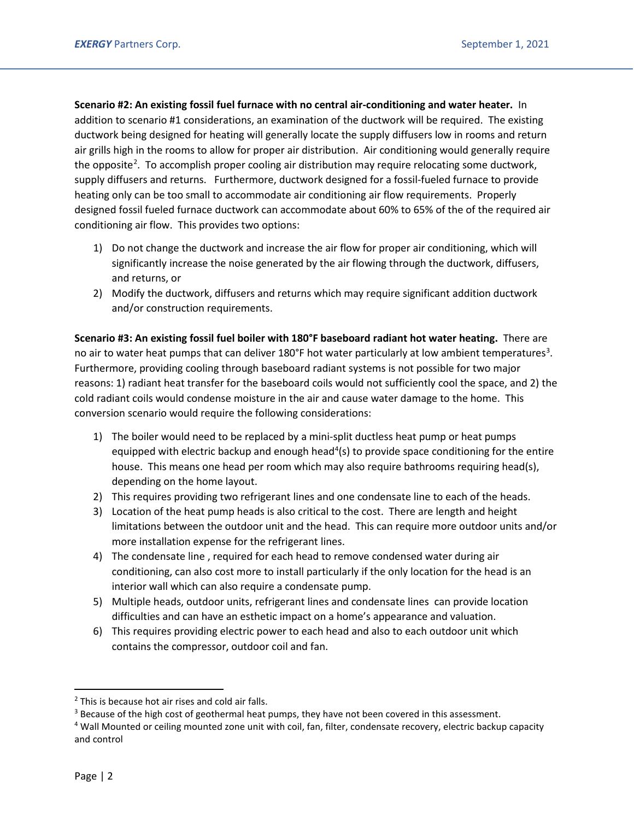**Scenario #2: An existing fossil fuel furnace with no central air-conditioning and water heater.** In addition to scenario #1 considerations, an examination of the ductwork will be required. The existing ductwork being designed for heating will generally locate the supply diffusers low in rooms and return air grills high in the rooms to allow for proper air distribution. Air conditioning would generally require the opposite<sup>[2](#page-1-0)</sup>. To accomplish proper cooling air distribution may require relocating some ductwork, supply diffusers and returns. Furthermore, ductwork designed for a fossil-fueled furnace to provide heating only can be too small to accommodate air conditioning air flow requirements. Properly designed fossil fueled furnace ductwork can accommodate about 60% to 65% of the of the required air conditioning air flow. This provides two options:

- 1) Do not change the ductwork and increase the air flow for proper air conditioning, which will significantly increase the noise generated by the air flowing through the ductwork, diffusers, and returns, or
- 2) Modify the ductwork, diffusers and returns which may require significant addition ductwork and/or construction requirements.

**Scenario #3: An existing fossil fuel boiler with 180°F baseboard radiant hot water heating.** There are no air to water heat pumps that can deliver 180°F hot water particularly at low ambient temperatures<sup>[3](#page-1-1)</sup>. Furthermore, providing cooling through baseboard radiant systems is not possible for two major reasons: 1) radiant heat transfer for the baseboard coils would not sufficiently cool the space, and 2) the cold radiant coils would condense moisture in the air and cause water damage to the home. This conversion scenario would require the following considerations:

- 1) The boiler would need to be replaced by a mini-split ductless heat pump or heat pumps equipped with electric backup and enough head<sup>[4](#page-1-2)</sup>(s) to provide space conditioning for the entire house. This means one head per room which may also require bathrooms requiring head(s), depending on the home layout.
- 2) This requires providing two refrigerant lines and one condensate line to each of the heads.
- 3) Location of the heat pump heads is also critical to the cost. There are length and height limitations between the outdoor unit and the head. This can require more outdoor units and/or more installation expense for the refrigerant lines.
- 4) The condensate line , required for each head to remove condensed water during air conditioning, can also cost more to install particularly if the only location for the head is an interior wall which can also require a condensate pump.
- 5) Multiple heads, outdoor units, refrigerant lines and condensate lines can provide location difficulties and can have an esthetic impact on a home's appearance and valuation.
- 6) This requires providing electric power to each head and also to each outdoor unit which contains the compressor, outdoor coil and fan.

<span id="page-1-0"></span><sup>&</sup>lt;sup>2</sup> This is because hot air rises and cold air falls.

<span id="page-1-1"></span><sup>&</sup>lt;sup>3</sup> Because of the high cost of geothermal heat pumps, they have not been covered in this assessment.

<span id="page-1-2"></span><sup>4</sup> Wall Mounted or ceiling mounted zone unit with coil, fan, filter, condensate recovery, electric backup capacity and control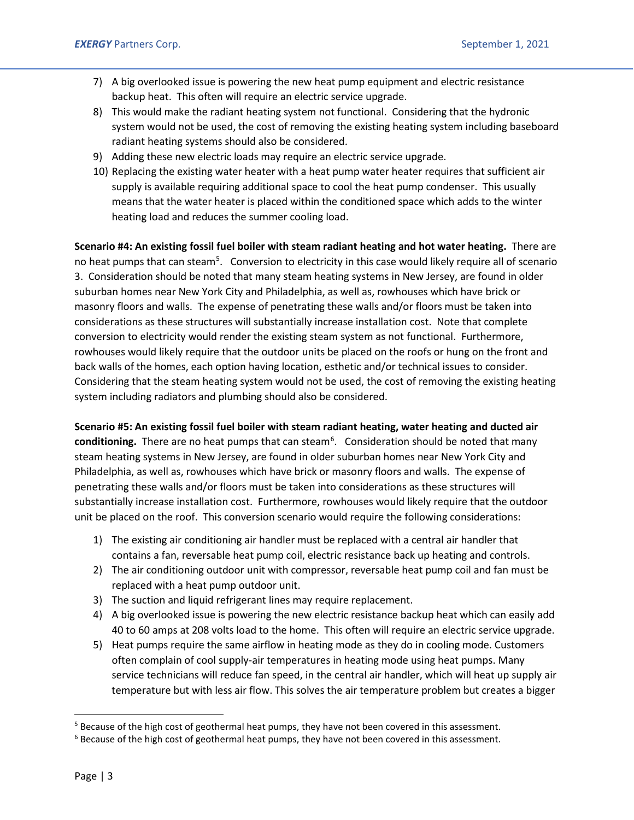- 7) A big overlooked issue is powering the new heat pump equipment and electric resistance backup heat. This often will require an electric service upgrade.
- 8) This would make the radiant heating system not functional. Considering that the hydronic system would not be used, the cost of removing the existing heating system including baseboard radiant heating systems should also be considered.
- 9) Adding these new electric loads may require an electric service upgrade.
- 10) Replacing the existing water heater with a heat pump water heater requires that sufficient air supply is available requiring additional space to cool the heat pump condenser. This usually means that the water heater is placed within the conditioned space which adds to the winter heating load and reduces the summer cooling load.

**Scenario #4: An existing fossil fuel boiler with steam radiant heating and hot water heating.** There are no heat pumps that can steam<sup>[5](#page-2-0)</sup>. Conversion to electricity in this case would likely require all of scenario 3. Consideration should be noted that many steam heating systems in New Jersey, are found in older suburban homes near New York City and Philadelphia, as well as, rowhouses which have brick or masonry floors and walls. The expense of penetrating these walls and/or floors must be taken into considerations as these structures will substantially increase installation cost. Note that complete conversion to electricity would render the existing steam system as not functional. Furthermore, rowhouses would likely require that the outdoor units be placed on the roofs or hung on the front and back walls of the homes, each option having location, esthetic and/or technical issues to consider. Considering that the steam heating system would not be used, the cost of removing the existing heating system including radiators and plumbing should also be considered.

**Scenario #5: An existing fossil fuel boiler with steam radiant heating, water heating and ducted air**  conditioning. There are no heat pumps that can steam<sup>[6](#page-2-1)</sup>. Consideration should be noted that many steam heating systems in New Jersey, are found in older suburban homes near New York City and Philadelphia, as well as, rowhouses which have brick or masonry floors and walls. The expense of penetrating these walls and/or floors must be taken into considerations as these structures will substantially increase installation cost. Furthermore, rowhouses would likely require that the outdoor unit be placed on the roof. This conversion scenario would require the following considerations:

- 1) The existing air conditioning air handler must be replaced with a central air handler that contains a fan, reversable heat pump coil, electric resistance back up heating and controls.
- 2) The air conditioning outdoor unit with compressor, reversable heat pump coil and fan must be replaced with a heat pump outdoor unit.
- 3) The suction and liquid refrigerant lines may require replacement.
- 4) A big overlooked issue is powering the new electric resistance backup heat which can easily add 40 to 60 amps at 208 volts load to the home. This often will require an electric service upgrade.
- 5) Heat pumps require the same airflow in heating mode as they do in cooling mode. Customers often complain of cool supply-air temperatures in heating mode using heat pumps. Many service technicians will reduce fan speed, in the central air handler, which will heat up supply air temperature but with less air flow. This solves the air temperature problem but creates a bigger

<span id="page-2-0"></span><sup>&</sup>lt;sup>5</sup> Because of the high cost of geothermal heat pumps, they have not been covered in this assessment.

<span id="page-2-1"></span> $6$  Because of the high cost of geothermal heat pumps, they have not been covered in this assessment.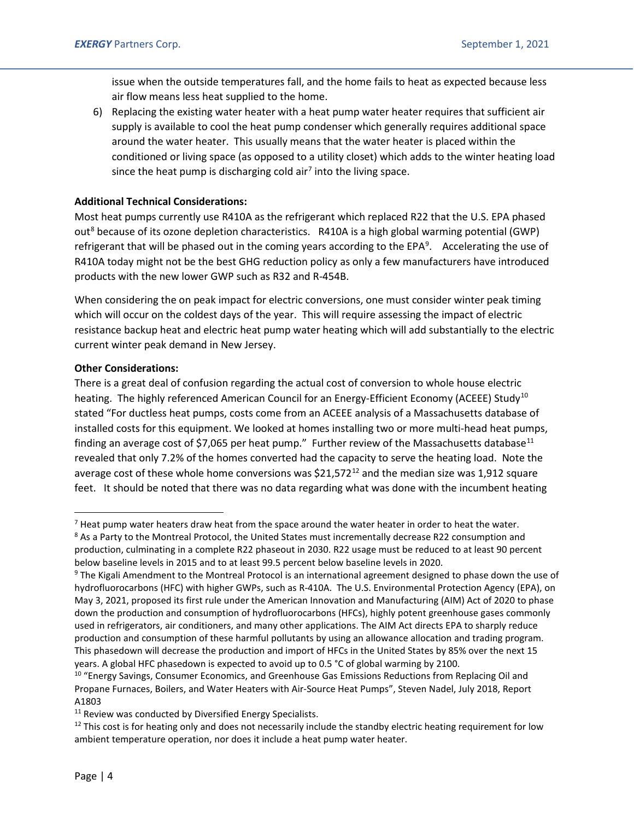issue when the outside temperatures fall, and the home fails to heat as expected because less air flow means less heat supplied to the home.

6) Replacing the existing water heater with a heat pump water heater requires that sufficient air supply is available to cool the heat pump condenser which generally requires additional space around the water heater. This usually means that the water heater is placed within the conditioned or living space (as opposed to a utility closet) which adds to the winter heating load since the heat pump is discharging cold air<sup>[7](#page-3-0)</sup> into the living space.

## **Additional Technical Considerations:**

Most heat pumps currently use R410A as the refrigerant which replaced R22 that the U.S. EPA phased out<sup>[8](#page-3-1)</sup> because of its ozone depletion characteristics. R410A is a high global warming potential (GWP) refrigerant that will be phased out in the coming years according to the EPA<sup>[9](#page-3-2)</sup>. Accelerating the use of R410A today might not be the best GHG reduction policy as only a few manufacturers have introduced products with the new lower GWP such as R32 and R-454B.

When considering the on peak impact for electric conversions, one must consider winter peak timing which will occur on the coldest days of the year. This will require assessing the impact of electric resistance backup heat and electric heat pump water heating which will add substantially to the electric current winter peak demand in New Jersey.

## **Other Considerations:**

There is a great deal of confusion regarding the actual cost of conversion to whole house electric heating. The highly referenced American Council for an Energy-Efficient Economy (ACEEE) Study<sup>[10](#page-3-3)</sup> stated "For ductless heat pumps, costs come from an ACEEE analysis of a Massachusetts database of installed costs for this equipment. We looked at homes installing two or more multi-head heat pumps, finding an average cost of \$7,065 per heat pump." Further review of the Massachusetts database<sup>[11](#page-3-4)</sup> revealed that only 7.2% of the homes converted had the capacity to serve the heating load. Note the average cost of these whole home conversions was  $$21,572^{12}$  $$21,572^{12}$  $$21,572^{12}$  and the median size was 1,912 square feet. It should be noted that there was no data regarding what was done with the incumbent heating

<span id="page-3-0"></span> $<sup>7</sup>$  Heat pump water heaters draw heat from the space around the water heater in order to heat the water.</sup>

<span id="page-3-1"></span><sup>&</sup>lt;sup>8</sup> As a Party to the Montreal Protocol, the United States must incrementally decrease R22 consumption and production, culminating in a complete R22 phaseout in 2030. R22 usage must be reduced to at least 90 percent below baseline levels in 2015 and to at least 99.5 percent below baseline levels in 2020.

<span id="page-3-2"></span><sup>&</sup>lt;sup>9</sup> The Kigali Amendment to the Montreal Protocol is an international agreement designed to phase down the use of hydrofluorocarbons (HFC) with higher GWPs, such as R-410A. The U.S. Environmental Protection Agency (EPA), on May 3, 2021, proposed its first rule under the American Innovation and Manufacturing (AIM) Act of 2020 to phase down the production and consumption of hydrofluorocarbons (HFCs), highly potent greenhouse gases commonly used in refrigerators, air conditioners, and many other applications. The AIM Act directs EPA to sharply reduce production and consumption of these harmful pollutants by using an allowance allocation and trading program. This phasedown will decrease the production and import of HFCs in the United States by 85% over the next 15 years. A global HFC phasedown is expected to avoid up to 0.5 °C of global warming by 2100.

<span id="page-3-3"></span><sup>&</sup>lt;sup>10</sup> "Energy Savings, Consumer Economics, and Greenhouse Gas Emissions Reductions from Replacing Oil and Propane Furnaces, Boilers, and Water Heaters with Air-Source Heat Pumps", Steven Nadel, July 2018, Report A1803

<span id="page-3-4"></span><sup>&</sup>lt;sup>11</sup> Review was conducted by Diversified Energy Specialists.

<span id="page-3-5"></span> $12$  This cost is for heating only and does not necessarily include the standby electric heating requirement for low ambient temperature operation, nor does it include a heat pump water heater.